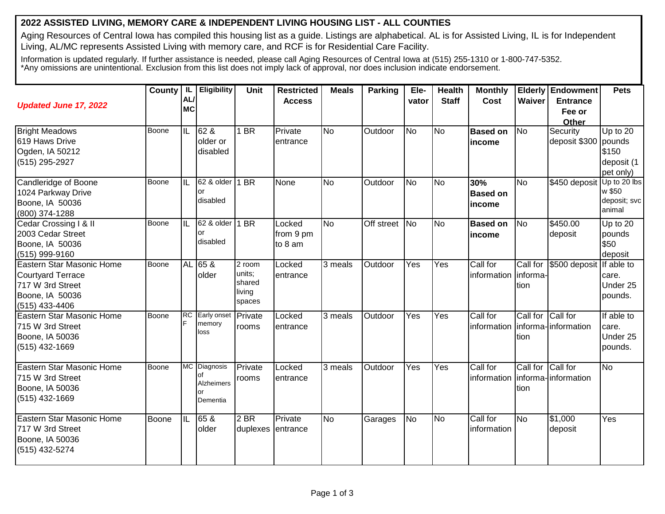## **2022 ASSISTED LIVING, MEMORY CARE & INDEPENDENT LIVING HOUSING LIST - ALL COUNTIES**

Aging Resources of Central Iowa has compiled this housing list as a guide. Listings are alphabetical. AL is for Assisted Living, IL is for Independent Living, AL/MC represents Assisted Living with memory care, and RCF is for Residential Care Facility.

Information is updated regularly. If further assistance is needed, please call Aging Resources of Central Iowa at (515) 255-1310 or 1-800-747-5352. \*Any omissions are unintentional. Exclusion from this list does not imply lack of approval, nor does inclusion indicate endorsement.

|                                               | <b>County</b> | IL<br>AL/ | <b>Eligibility</b>    | <b>Unit</b>      | <b>Restricted</b><br><b>Access</b> | <b>Meals</b>           | <b>Parking</b> | Ele-<br>vator | <b>Health</b><br><b>Staff</b> | <b>Monthly</b><br>Cost                         | Waiver            | <b>Elderly Endowment</b><br><b>Entrance</b> | <b>Pets</b>       |
|-----------------------------------------------|---------------|-----------|-----------------------|------------------|------------------------------------|------------------------|----------------|---------------|-------------------------------|------------------------------------------------|-------------------|---------------------------------------------|-------------------|
| <b>Updated June 17, 2022</b>                  |               | <b>MC</b> |                       |                  |                                    |                        |                |               |                               |                                                |                   | Fee or                                      |                   |
| <b>Bright Meadows</b>                         | <b>Boone</b>  | IIL       | 62 &                  | $1$ BR           | Private                            | $\overline{\text{No}}$ | Outdoor        | <b>No</b>     | No                            | <b>Based on</b>                                | <b>No</b>         | <b>Other</b><br>Security                    | Up to 20          |
| 619 Haws Drive                                |               |           | older or              |                  | entrance                           |                        |                |               |                               | income                                         |                   | deposit \$300 pounds                        |                   |
| Ogden, IA 50212                               |               |           | disabled              |                  |                                    |                        |                |               |                               |                                                |                   |                                             | \$150             |
| (515) 295-2927                                |               |           |                       |                  |                                    |                        |                |               |                               |                                                |                   |                                             | deposit (1        |
|                                               |               |           |                       |                  |                                    |                        |                |               |                               |                                                |                   |                                             | pet only)         |
| Candleridge of Boone                          | Boone         | IL        | 62 & older 1 BR       |                  | None                               | <b>No</b>              | Outdoor        | <b>No</b>     | <b>No</b>                     | 30%                                            | No                | \$450 deposit                               | Up to 20 lbs      |
| 1024 Parkway Drive                            |               |           | or                    |                  |                                    |                        |                |               |                               | <b>Based on</b>                                |                   |                                             | w \$50            |
| Boone, IA 50036                               |               |           | disabled              |                  |                                    |                        |                |               |                               | income                                         |                   |                                             | deposit; svc      |
| (800) 374-1288                                |               |           |                       |                  |                                    |                        |                |               |                               |                                                |                   |                                             | animal            |
| Cedar Crossing I & II                         | Boone         | IL        | 62 & older   1 BR     |                  | Locked                             | <b>No</b>              | Off street     | <b>No</b>     | <b>No</b>                     | <b>Based on</b>                                | <b>No</b>         | \$450.00                                    | Up to 20          |
| 2003 Cedar Street                             |               |           | or                    |                  | from 9 pm                          |                        |                |               |                               | income                                         |                   | deposit                                     | pounds            |
| Boone, IA 50036                               |               |           | disabled              |                  | to 8 am                            |                        |                |               |                               |                                                |                   |                                             | \$50              |
| (515) 999-9160                                |               |           |                       |                  |                                    |                        |                |               |                               |                                                |                   |                                             | deposit           |
| Eastern Star Masonic Home                     | <b>Boone</b>  |           | AL 65 &               | 2 room           | Locked                             | 3 meals                | Outdoor        | Yes           | Yes                           | Call for                                       | Call for          | \$500 deposit                               | If able to        |
| <b>Courtyard Terrace</b>                      |               |           | older                 | units;<br>shared | entrance                           |                        |                |               |                               | information                                    | informa-          |                                             | care.             |
| 717 W 3rd Street                              |               |           |                       | living           |                                    |                        |                |               |                               |                                                | tion              |                                             | Under 25          |
| Boone, IA 50036                               |               |           |                       | spaces           |                                    |                        |                |               |                               |                                                |                   |                                             | pounds.           |
| $(515)$ 433-4406                              | Boone         | <b>RC</b> | Early onset           |                  |                                    |                        |                |               |                               |                                                | Call for Call for |                                             |                   |
| Eastern Star Masonic Home<br>715 W 3rd Street |               |           | memory                | Private          | Locked                             | 3 meals                | Outdoor        | Yes           | Yes                           | Call for<br>information   informa- information |                   |                                             | If able to        |
| Boone, IA 50036                               |               |           | loss                  | rooms            | entrance                           |                        |                |               |                               |                                                | tion              |                                             | care.<br>Under 25 |
| (515) 432-1669                                |               |           |                       |                  |                                    |                        |                |               |                               |                                                |                   |                                             | pounds.           |
|                                               |               |           |                       |                  |                                    |                        |                |               |                               |                                                |                   |                                             |                   |
| Eastern Star Masonic Home                     | Boone         |           | MC Diagnosis          | Private          | Locked                             | 3 meals                | Outdoor        | Yes           | Yes                           | Call for                                       | Call for Call for |                                             | <b>No</b>         |
| 715 W 3rd Street                              |               |           | lof                   | rooms            | entrance                           |                        |                |               |                               | information                                    |                   | informa-information                         |                   |
| Boone, IA 50036                               |               |           | Alzheimers            |                  |                                    |                        |                |               |                               |                                                | tion              |                                             |                   |
| (515) 432-1669                                |               |           | <b>or</b><br>Dementia |                  |                                    |                        |                |               |                               |                                                |                   |                                             |                   |
|                                               |               |           |                       |                  |                                    |                        |                |               |                               |                                                |                   |                                             |                   |
| <b>Eastern Star Masonic Home</b>              | Boone         | IL        | 65 &                  | 2 <sub>BR</sub>  | Private                            | <b>No</b>              | Garages        | No            | N <sub>o</sub>                | Call for                                       | <b>No</b>         | $\sqrt{$1,000}$                             | Yes               |
| 717 W 3rd Street                              |               |           | older                 | duplexes         | entrance                           |                        |                |               |                               | information                                    |                   | deposit                                     |                   |
| Boone, IA 50036                               |               |           |                       |                  |                                    |                        |                |               |                               |                                                |                   |                                             |                   |
| (515) 432-5274                                |               |           |                       |                  |                                    |                        |                |               |                               |                                                |                   |                                             |                   |
|                                               |               |           |                       |                  |                                    |                        |                |               |                               |                                                |                   |                                             |                   |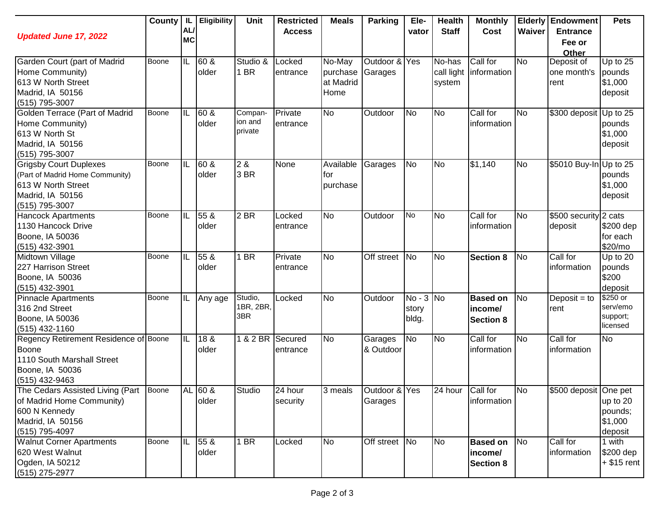| <b>Updated June 17, 2022</b>                                                                                                 |       | AL/<br><b>MC</b>        | County   IL   Eligibility | Unit                          | <b>Restricted</b><br><b>Access</b> | <b>Meals</b>                            | <b>Parking</b>           | Ele-<br>vator                 | <b>Health</b><br><b>Staff</b>  | <b>Monthly</b><br>Cost                         | Waiver         | <b>Elderly Endowment</b><br><b>Entrance</b><br>Fee or<br>Other | <b>Pets</b>                                  |
|------------------------------------------------------------------------------------------------------------------------------|-------|-------------------------|---------------------------|-------------------------------|------------------------------------|-----------------------------------------|--------------------------|-------------------------------|--------------------------------|------------------------------------------------|----------------|----------------------------------------------------------------|----------------------------------------------|
| Garden Court (part of Madrid<br>Home Community)<br>613 W North Street<br>Madrid, IA 50156<br>(515) 795-3007                  | Boone | IL                      | 60 &<br>older             | Studio &<br>1 BR              | Locked<br>entrance                 | No-May<br>purchase<br>at Madrid<br>Home | Outdoor & Yes<br>Garages |                               | No-has<br>call light<br>system | Call for<br>information                        | <b>No</b>      | Deposit of<br>one month's<br>rent                              | Up to 25<br>pounds<br>\$1,000<br>deposit     |
| Golden Terrace (Part of Madrid<br>Home Community)<br>613 W North St<br>Madrid, IA 50156<br>(515) 795-3007                    | Boone | IIL                     | 60 &<br>older             | Compan-<br>ion and<br>private | Private<br>entrance                | <b>No</b>                               | Outdoor                  | <b>No</b>                     | No                             | Call for<br>information                        | <b>No</b>      | \$300 deposit Up to 25                                         | pounds<br>\$1,000<br>deposit                 |
| <b>Grigsby Court Duplexes</b><br>(Part of Madrid Home Community)<br>613 W North Street<br>Madrid, IA 50156<br>(515) 795-3007 | Boone | IL                      | 60 &<br>older             | 2 &<br>3 BR                   | None                               | Available<br>for<br>purchase            | Garages                  | <b>No</b>                     | No                             | \$1,140                                        | No             | \$5010 Buy-In Up to 25                                         | pounds<br>\$1,000<br>deposit                 |
| <b>Hancock Apartments</b><br>1130 Hancock Drive<br>Boone, IA 50036<br>$(515)$ 432-3901                                       | Boone | $\overline{\mathbb{L}}$ | 55 &<br>older             | $2$ BR                        | Locked<br>entrance                 | <b>No</b>                               | Outdoor                  | <b>No</b>                     | No                             | Call for<br>information                        | <b>No</b>      | \$500 security 2 cats<br>deposit                               | \$200 dep<br>for each<br>\$20/mo             |
| Midtown Village<br>227 Harrison Street<br>Boone, IA 50036<br>(515) 432-3901                                                  | Boone | IL                      | 55 &<br>older             | 1 BR                          | Private<br>entrance                | <b>No</b>                               | Off street No            |                               | No                             | <b>Section 8</b>                               | No             | Call for<br>information                                        | Up to 20<br>pounds<br>\$200<br>deposit       |
| Pinnacle Apartments<br>316 2nd Street<br>Boone, IA 50036<br>$(515)$ 432-1160                                                 | Boone | IL                      | Any age                   | Studio,<br>1BR, 2BR,<br>3BR   | Locked                             | <b>No</b>                               | Outdoor                  | $No - 3 No$<br>story<br>bldg. |                                | <b>Based on</b><br>income/<br><b>Section 8</b> | N <sub>o</sub> | Deposit = $to$<br>rent                                         | \$250 or<br>serv/emo<br>support;<br>licensed |
| Regency Retirement Residence of Boone<br>Boone<br>1110 South Marshall Street<br>Boone, IA 50036<br>(515) 432-9463            |       | $\overline{\mathbb{L}}$ | 18 <sub>8</sub><br>older  | 1 & 2 BR                      | Secured<br>entrance                | <b>No</b>                               | Garages<br>& Outdoor     | $\overline{\text{No}}$        | No                             | Call for<br>information                        | <b>No</b>      | Call for<br>information                                        | No                                           |
| The Cedars Assisted Living (Part Boone<br>of Madrid Home Community)<br>600 N Kennedy<br>Madrid, IA 50156<br>(515) 795-4097   |       |                         | AL 60 &<br>older          | Studio                        | 24 hour<br>security                | 3 meals                                 | Outdoor & Yes<br>Garages |                               | 24 hour Call for               | information                                    | <b>No</b>      | \$500 deposit One pet                                          | up to 20<br>pounds;<br>\$1,000<br>deposit    |
| <b>Walnut Corner Apartments</b><br>620 West Walnut<br>Ogden, IA 50212<br>(515) 275-2977                                      | Boone | IL                      | 55 &<br>older             | 1 BR                          | Locked                             | <b>No</b>                               | Off street No            |                               | N <sub>o</sub>                 | <b>Based on</b><br>income/<br><b>Section 8</b> | <b>No</b>      | Call for<br>information                                        | 1 with<br>\$200 dep<br>$+$ \$15 rent         |